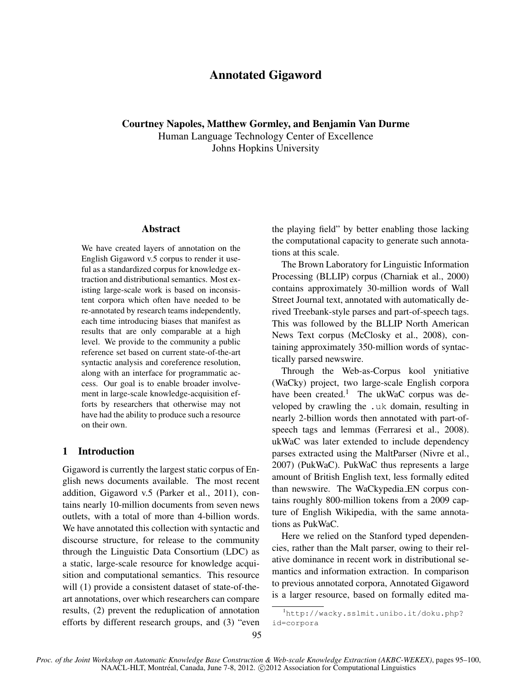# Annotated Gigaword

Courtney Napoles, Matthew Gormley, and Benjamin Van Durme Human Language Technology Center of Excellence Johns Hopkins University

### Abstract

We have created layers of annotation on the English Gigaword v.5 corpus to render it useful as a standardized corpus for knowledge extraction and distributional semantics. Most existing large-scale work is based on inconsistent corpora which often have needed to be re-annotated by research teams independently, each time introducing biases that manifest as results that are only comparable at a high level. We provide to the community a public reference set based on current state-of-the-art syntactic analysis and coreference resolution, along with an interface for programmatic access. Our goal is to enable broader involvement in large-scale knowledge-acquisition efforts by researchers that otherwise may not have had the ability to produce such a resource on their own.

### 1 Introduction

Gigaword is currently the largest static corpus of English news documents available. The most recent addition, Gigaword v.5 (Parker et al., 2011), contains nearly 10-million documents from seven news outlets, with a total of more than 4-billion words. We have annotated this collection with syntactic and discourse structure, for release to the community through the Linguistic Data Consortium (LDC) as a static, large-scale resource for knowledge acquisition and computational semantics. This resource will (1) provide a consistent dataset of state-of-theart annotations, over which researchers can compare results, (2) prevent the reduplication of annotation efforts by different research groups, and (3) "even the playing field" by better enabling those lacking the computational capacity to generate such annotations at this scale.

The Brown Laboratory for Linguistic Information Processing (BLLIP) corpus (Charniak et al., 2000) contains approximately 30-million words of Wall Street Journal text, annotated with automatically derived Treebank-style parses and part-of-speech tags. This was followed by the BLLIP North American News Text corpus (McClosky et al., 2008), containing approximately 350-million words of syntactically parsed newswire.

Through the Web-as-Corpus kool ynitiative (WaCky) project, two large-scale English corpora have been created.<sup>1</sup> The ukWaC corpus was developed by crawling the .uk domain, resulting in nearly 2-billion words then annotated with part-ofspeech tags and lemmas (Ferraresi et al., 2008). ukWaC was later extended to include dependency parses extracted using the MaltParser (Nivre et al., 2007) (PukWaC). PukWaC thus represents a large amount of British English text, less formally edited than newswire. The WaCkypedia EN corpus contains roughly 800-million tokens from a 2009 capture of English Wikipedia, with the same annotations as PukWaC.

Here we relied on the Stanford typed dependencies, rather than the Malt parser, owing to their relative dominance in recent work in distributional semantics and information extraction. In comparison to previous annotated corpora, Annotated Gigaword is a larger resource, based on formally edited ma-

<sup>1</sup>http://wacky.sslmit.unibo.it/doku.php? id=corpora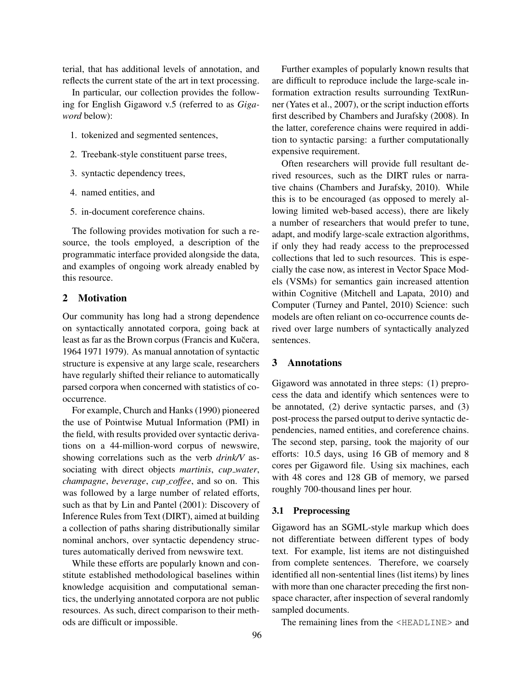terial, that has additional levels of annotation, and reflects the current state of the art in text processing.

In particular, our collection provides the following for English Gigaword v.5 (referred to as *Gigaword* below):

- 1. tokenized and segmented sentences,
- 2. Treebank-style constituent parse trees,
- 3. syntactic dependency trees,
- 4. named entities, and
- 5. in-document coreference chains.

The following provides motivation for such a resource, the tools employed, a description of the programmatic interface provided alongside the data, and examples of ongoing work already enabled by this resource.

### 2 Motivation

Our community has long had a strong dependence on syntactically annotated corpora, going back at least as far as the Brown corpus (Francis and Kučera, 1964 1971 1979). As manual annotation of syntactic structure is expensive at any large scale, researchers have regularly shifted their reliance to automatically parsed corpora when concerned with statistics of cooccurrence.

For example, Church and Hanks (1990) pioneered the use of Pointwise Mutual Information (PMI) in the field, with results provided over syntactic derivations on a 44-million-word corpus of newswire, showing correlations such as the verb *drink/V* associating with direct objects *martinis*, *cup water*, *champagne*, *beverage*, *cup coffee*, and so on. This was followed by a large number of related efforts, such as that by Lin and Pantel (2001): Discovery of Inference Rules from Text (DIRT), aimed at building a collection of paths sharing distributionally similar nominal anchors, over syntactic dependency structures automatically derived from newswire text.

While these efforts are popularly known and constitute established methodological baselines within knowledge acquisition and computational semantics, the underlying annotated corpora are not public resources. As such, direct comparison to their methods are difficult or impossible.

Further examples of popularly known results that are difficult to reproduce include the large-scale information extraction results surrounding TextRunner (Yates et al., 2007), or the script induction efforts first described by Chambers and Jurafsky (2008). In the latter, coreference chains were required in addition to syntactic parsing: a further computationally expensive requirement.

Often researchers will provide full resultant derived resources, such as the DIRT rules or narrative chains (Chambers and Jurafsky, 2010). While this is to be encouraged (as opposed to merely allowing limited web-based access), there are likely a number of researchers that would prefer to tune, adapt, and modify large-scale extraction algorithms, if only they had ready access to the preprocessed collections that led to such resources. This is especially the case now, as interest in Vector Space Models (VSMs) for semantics gain increased attention within Cognitive (Mitchell and Lapata, 2010) and Computer (Turney and Pantel, 2010) Science: such models are often reliant on co-occurrence counts derived over large numbers of syntactically analyzed sentences.

# 3 Annotations

Gigaword was annotated in three steps: (1) preprocess the data and identify which sentences were to be annotated, (2) derive syntactic parses, and (3) post-process the parsed output to derive syntactic dependencies, named entities, and coreference chains. The second step, parsing, took the majority of our efforts: 10.5 days, using 16 GB of memory and 8 cores per Gigaword file. Using six machines, each with 48 cores and 128 GB of memory, we parsed roughly 700-thousand lines per hour.

### 3.1 Preprocessing

Gigaword has an SGML-style markup which does not differentiate between different types of body text. For example, list items are not distinguished from complete sentences. Therefore, we coarsely identified all non-sentential lines (list items) by lines with more than one character preceding the first nonspace character, after inspection of several randomly sampled documents.

The remaining lines from the <HEADLINE> and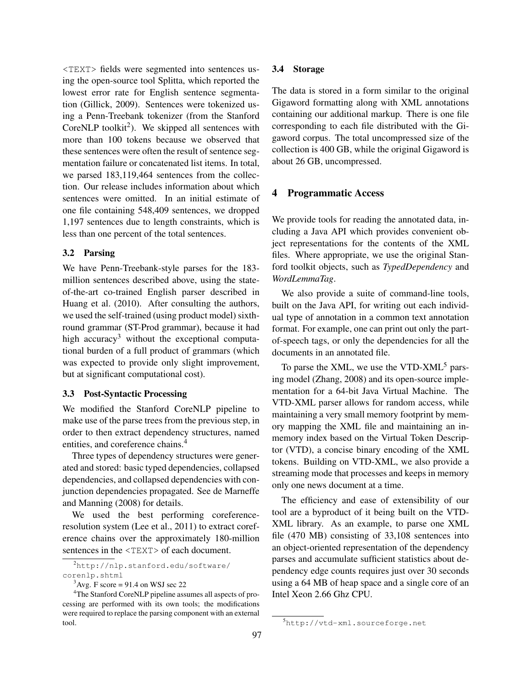<TEXT> fields were segmented into sentences using the open-source tool Splitta, which reported the lowest error rate for English sentence segmentation (Gillick, 2009). Sentences were tokenized using a Penn-Treebank tokenizer (from the Stanford CoreNLP toolkit<sup>2</sup>). We skipped all sentences with more than 100 tokens because we observed that these sentences were often the result of sentence segmentation failure or concatenated list items. In total, we parsed 183,119,464 sentences from the collection. Our release includes information about which sentences were omitted. In an initial estimate of one file containing 548,409 sentences, we dropped 1,197 sentences due to length constraints, which is less than one percent of the total sentences.

### 3.2 Parsing

We have Penn-Treebank-style parses for the 183 million sentences described above, using the stateof-the-art co-trained English parser described in Huang et al. (2010). After consulting the authors, we used the self-trained (using product model) sixthround grammar (ST-Prod grammar), because it had high accuracy<sup>3</sup> without the exceptional computational burden of a full product of grammars (which was expected to provide only slight improvement, but at significant computational cost).

### 3.3 Post-Syntactic Processing

We modified the Stanford CoreNLP pipeline to make use of the parse trees from the previous step, in order to then extract dependency structures, named entities, and coreference chains.<sup>4</sup>

Three types of dependency structures were generated and stored: basic typed dependencies, collapsed dependencies, and collapsed dependencies with conjunction dependencies propagated. See de Marneffe and Manning (2008) for details.

We used the best performing coreferenceresolution system (Lee et al., 2011) to extract coreference chains over the approximately 180-million sentences in the  $\langle \text{TEXT} \rangle$  of each document.

<sup>2</sup>http://nlp.stanford.edu/software/ corenlp.shtml

#### 3.4 Storage

The data is stored in a form similar to the original Gigaword formatting along with XML annotations containing our additional markup. There is one file corresponding to each file distributed with the Gigaword corpus. The total uncompressed size of the collection is 400 GB, while the original Gigaword is about 26 GB, uncompressed.

### 4 Programmatic Access

We provide tools for reading the annotated data, including a Java API which provides convenient object representations for the contents of the XML files. Where appropriate, we use the original Stanford toolkit objects, such as *TypedDependency* and *WordLemmaTag*.

We also provide a suite of command-line tools, built on the Java API, for writing out each individual type of annotation in a common text annotation format. For example, one can print out only the partof-speech tags, or only the dependencies for all the documents in an annotated file.

To parse the XML, we use the VTD-XML $<sup>5</sup>$  pars-</sup> ing model (Zhang, 2008) and its open-source implementation for a 64-bit Java Virtual Machine. The VTD-XML parser allows for random access, while maintaining a very small memory footprint by memory mapping the XML file and maintaining an inmemory index based on the Virtual Token Descriptor (VTD), a concise binary encoding of the XML tokens. Building on VTD-XML, we also provide a streaming mode that processes and keeps in memory only one news document at a time.

The efficiency and ease of extensibility of our tool are a byproduct of it being built on the VTD-XML library. As an example, to parse one XML file (470 MB) consisting of 33,108 sentences into an object-oriented representation of the dependency parses and accumulate sufficient statistics about dependency edge counts requires just over 30 seconds using a 64 MB of heap space and a single core of an Intel Xeon 2.66 Ghz CPU.

 $3$ Avg. F score = 91.4 on WSJ sec 22

<sup>4</sup>The Stanford CoreNLP pipeline assumes all aspects of processing are performed with its own tools; the modifications were required to replace the parsing component with an external tool.

<sup>5</sup>http://vtd-xml.sourceforge.net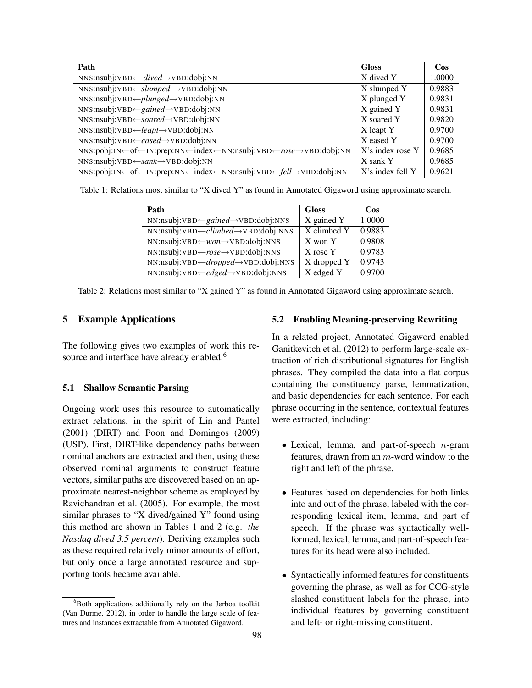| Path                                                            | <b>Gloss</b>        | $\cos$ |
|-----------------------------------------------------------------|---------------------|--------|
| NNS:nsubj:VBD $\leftarrow \text{dived} \rightarrow$ VBD:dobj:NN | X dived Y           | 1.0000 |
| $NNS:nsubj:VBD \leftarrow slumped \rightarrow VBD:dobj: NN$     | X slumped Y         | 0.9883 |
| $NNS:nsubj: VBD \leftarrow plunge d \rightarrow VBD: dobj: NN$  | X plunged Y         | 0.9831 |
| NNS:nsubj:VBD←gained→VBD:dobj:NN                                | X gained Y          | 0.9831 |
| NNS:nsubj:VBD←soared→VBD:dobj:NN                                | X soared Y          | 0.9820 |
| NNS:nsubj:VBD←leapt→VBD:dobj:NN                                 | X leapt Y           | 0.9700 |
| NNS:nsubj:VBD←eased→VBD:dobj:NN                                 | X eased Y           | 0.9700 |
| NNS:pobj:IN←of←IN:prep:NN←index←NN:nsubj:VBD←rose→VBD:dobj:NN   | $X$ 's index rose Y | 0.9685 |
| $NNS:nsubj: VBD \leftarrow sank \rightarrow VBD:dobj: NN$       | X sank Y            | 0.9685 |
| NNS:pobj:IN←of←IN:prep:NN←index←NN:nsubj:VBD←fell→VBD:dobj:NN   | X's index fell Y    | 0.9621 |

Table 1: Relations most similar to "X dived Y" as found in Annotated Gigaword using approximate search.

| Path                                                        | <b>Gloss</b> | Cos    |
|-------------------------------------------------------------|--------------|--------|
| $NN:nsubj:VBD \leftarrow gained \rightarrow VBD:dobj: NNS$  | X gained Y   | 1.0000 |
| $NN:nsubj:VBD \leftarrow climbed \rightarrow VBD:dobj: NNS$ | X climbed Y  | 0.9883 |
| $NN:nsubj:VBD \leftarrow won \rightarrow VBD:dobj: NNS$     | X won Y      | 0.9808 |
| $NN:nsubj:VBD \leftarrow rose \rightarrow VBD:dobj: NNS$    | X rose Y     | 0.9783 |
| NN:nsubj:VBD← <i>dropped</i> →VBD:dobj:NNS                  | X dropped Y  | 0.9743 |
| $NN:nsubj:VBD \leftarrow edged \rightarrow VBD:dobj: NNS$   | X edged Y    | 0.9700 |

Table 2: Relations most similar to "X gained Y" as found in Annotated Gigaword using approximate search.

## 5 Example Applications

The following gives two examples of work this resource and interface have already enabled.<sup>6</sup>

### 5.1 Shallow Semantic Parsing

Ongoing work uses this resource to automatically extract relations, in the spirit of Lin and Pantel (2001) (DIRT) and Poon and Domingos (2009) (USP). First, DIRT-like dependency paths between nominal anchors are extracted and then, using these observed nominal arguments to construct feature vectors, similar paths are discovered based on an approximate nearest-neighbor scheme as employed by Ravichandran et al. (2005). For example, the most similar phrases to "X dived/gained Y" found using this method are shown in Tables 1 and 2 (e.g. *the Nasdaq dived 3.5 percent*). Deriving examples such as these required relatively minor amounts of effort, but only once a large annotated resource and supporting tools became available.

### 5.2 Enabling Meaning-preserving Rewriting

In a related project, Annotated Gigaword enabled Ganitkevitch et al. (2012) to perform large-scale extraction of rich distributional signatures for English phrases. They compiled the data into a flat corpus containing the constituency parse, lemmatization, and basic dependencies for each sentence. For each phrase occurring in the sentence, contextual features were extracted, including:

- Lexical, lemma, and part-of-speech  $n$ -gram features, drawn from an m-word window to the right and left of the phrase.
- Features based on dependencies for both links into and out of the phrase, labeled with the corresponding lexical item, lemma, and part of speech. If the phrase was syntactically wellformed, lexical, lemma, and part-of-speech features for its head were also included.
- Syntactically informed features for constituents governing the phrase, as well as for CCG-style slashed constituent labels for the phrase, into individual features by governing constituent and left- or right-missing constituent.

 ${}^{6}$ Both applications additionally rely on the Jerboa toolkit (Van Durme, 2012), in order to handle the large scale of features and instances extractable from Annotated Gigaword.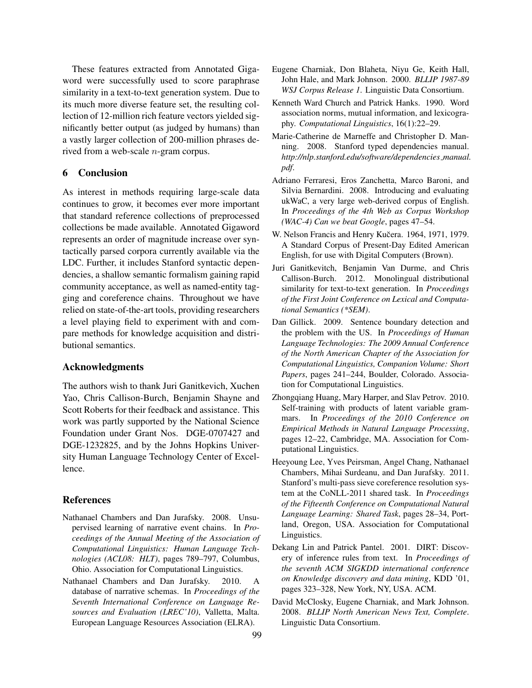These features extracted from Annotated Gigaword were successfully used to score paraphrase similarity in a text-to-text generation system. Due to its much more diverse feature set, the resulting collection of 12-million rich feature vectors yielded significantly better output (as judged by humans) than a vastly larger collection of 200-million phrases derived from a web-scale n-gram corpus.

# 6 Conclusion

As interest in methods requiring large-scale data continues to grow, it becomes ever more important that standard reference collections of preprocessed collections be made available. Annotated Gigaword represents an order of magnitude increase over syntactically parsed corpora currently available via the LDC. Further, it includes Stanford syntactic dependencies, a shallow semantic formalism gaining rapid community acceptance, as well as named-entity tagging and coreference chains. Throughout we have relied on state-of-the-art tools, providing researchers a level playing field to experiment with and compare methods for knowledge acquisition and distributional semantics.

### Acknowledgments

The authors wish to thank Juri Ganitkevich, Xuchen Yao, Chris Callison-Burch, Benjamin Shayne and Scott Roberts for their feedback and assistance. This work was partly supported by the National Science Foundation under Grant Nos. DGE-0707427 and DGE-1232825, and by the Johns Hopkins University Human Language Technology Center of Excellence.

### **References**

- Nathanael Chambers and Dan Jurafsky. 2008. Unsupervised learning of narrative event chains. In *Proceedings of the Annual Meeting of the Association of Computational Linguistics: Human Language Technologies (ACL08: HLT)*, pages 789–797, Columbus, Ohio. Association for Computational Linguistics.
- Nathanael Chambers and Dan Jurafsky. 2010. A database of narrative schemas. In *Proceedings of the Seventh International Conference on Language Resources and Evaluation (LREC'10)*, Valletta, Malta. European Language Resources Association (ELRA).
- Eugene Charniak, Don Blaheta, Niyu Ge, Keith Hall, John Hale, and Mark Johnson. 2000. *BLLIP 1987-89 WSJ Corpus Release 1*. Linguistic Data Consortium.
- Kenneth Ward Church and Patrick Hanks. 1990. Word association norms, mutual information, and lexicography. *Computational Linguistics*, 16(1):22–29.
- Marie-Catherine de Marneffe and Christopher D. Manning. 2008. Stanford typed dependencies manual. *http://nlp.stanford.edu/software/dependencies manual. pdf*.
- Adriano Ferraresi, Eros Zanchetta, Marco Baroni, and Silvia Bernardini. 2008. Introducing and evaluating ukWaC, a very large web-derived corpus of English. In *Proceedings of the 4th Web as Corpus Workshop (WAC-4) Can we beat Google*, pages 47–54.
- W. Nelson Francis and Henry Kučera. 1964, 1971, 1979. A Standard Corpus of Present-Day Edited American English, for use with Digital Computers (Brown).
- Juri Ganitkevitch, Benjamin Van Durme, and Chris Callison-Burch. 2012. Monolingual distributional similarity for text-to-text generation. In *Proceedings of the First Joint Conference on Lexical and Computational Semantics (\*SEM)*.
- Dan Gillick. 2009. Sentence boundary detection and the problem with the US. In *Proceedings of Human Language Technologies: The 2009 Annual Conference of the North American Chapter of the Association for Computational Linguistics, Companion Volume: Short Papers*, pages 241–244, Boulder, Colorado. Association for Computational Linguistics.
- Zhongqiang Huang, Mary Harper, and Slav Petrov. 2010. Self-training with products of latent variable grammars. In *Proceedings of the 2010 Conference on Empirical Methods in Natural Language Processing*, pages 12–22, Cambridge, MA. Association for Computational Linguistics.
- Heeyoung Lee, Yves Peirsman, Angel Chang, Nathanael Chambers, Mihai Surdeanu, and Dan Jurafsky. 2011. Stanford's multi-pass sieve coreference resolution system at the CoNLL-2011 shared task. In *Proceedings of the Fifteenth Conference on Computational Natural Language Learning: Shared Task*, pages 28–34, Portland, Oregon, USA. Association for Computational Linguistics.
- Dekang Lin and Patrick Pantel. 2001. DIRT: Discovery of inference rules from text. In *Proceedings of the seventh ACM SIGKDD international conference on Knowledge discovery and data mining*, KDD '01, pages 323–328, New York, NY, USA. ACM.
- David McClosky, Eugene Charniak, and Mark Johnson. 2008. *BLLIP North American News Text, Complete*. Linguistic Data Consortium.